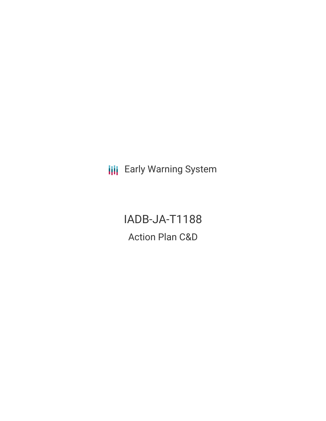**III** Early Warning System

IADB-JA-T1188 Action Plan C&D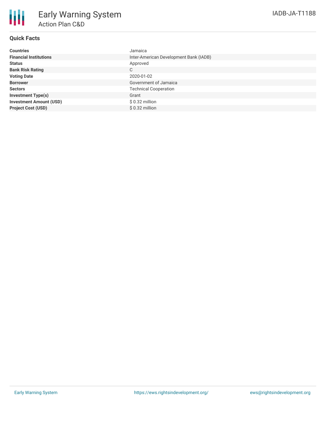

## **Quick Facts**

| <b>Countries</b>               | Jamaica                                |
|--------------------------------|----------------------------------------|
| <b>Financial Institutions</b>  | Inter-American Development Bank (IADB) |
| <b>Status</b>                  | Approved                               |
| <b>Bank Risk Rating</b>        | C                                      |
| <b>Voting Date</b>             | 2020-01-02                             |
| <b>Borrower</b>                | Government of Jamaica                  |
| <b>Sectors</b>                 | <b>Technical Cooperation</b>           |
| <b>Investment Type(s)</b>      | Grant                                  |
| <b>Investment Amount (USD)</b> | $$0.32$ million                        |
| <b>Project Cost (USD)</b>      | $$0.32$ million                        |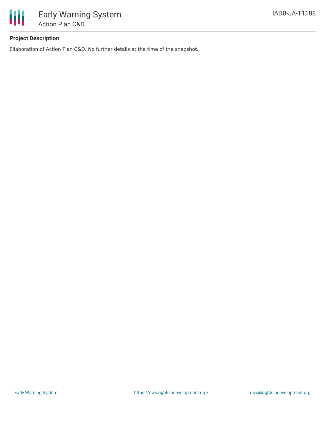

# **Project Description**

Ellaboration of Action Plan C&D. No further details at the time of the snapshot.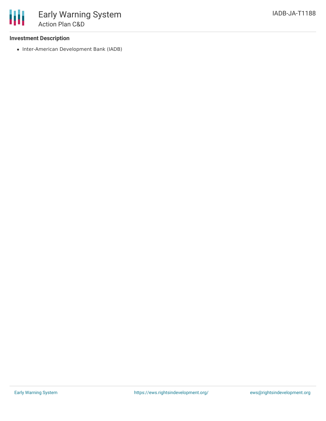## **Investment Description**

• Inter-American Development Bank (IADB)